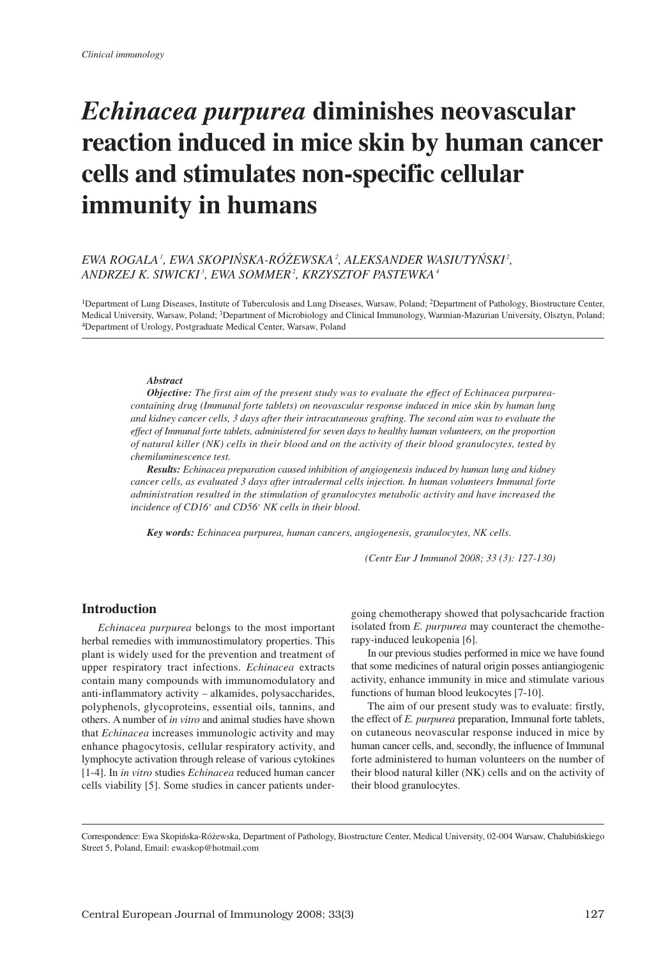# Echinacea purpurea diminishes neovascular reaction induced in mice skin by human cancer cells and stimulates non-specific cellular immunity in humans

## EWA ROGALA', EWA SKOPIŃSKA-RÓŻEWSKA', ALEKSANDER WASIUTYŃSKI', ANDRZEJ K. SIWICKI', EWA SOMMER', KRZYSZTOF PASTEWKA'

1Department of Lung Diseases, Institute of Tuberculosis and Lung Diseases, Warsaw, Poland; 2Department of Pathology, Biostructure Center, Medical University, Warsaw, Poland; 3Department of Microbiology and Clinical Immunology, Warmian-Mazurian University, Olsztyn, Poland; 4Department of Urology, Postgraduate Medical Center, Warsaw, Poland

#### Abstract

**Objective:** The first aim of the present study was to evaluate the effect of Echinacea purpureacontaining drug (Immunal forte tablets) on neovascular response induced in mice skin by human lung and kidney cancer cells, 3 days after their intracutaneous grafting. The second aim was to evaluate the effect of Immunal forte tablets, administered for seven days to healthy human volunteers, on the proportion of natural killer (NK) cells in their blood and on the activity of their blood granulocytes, tested by chemiluminescence test.

Results: Echinacea preparation caused inhibition of angiogenesis induced by human lung and kidney cancer cells, as evaluated 3 days after intradermal cells injection. In human volunteers Immunal forte administration resulted in the stimulation of granulocytes metabolic activity and have increased the incidence of CD16+ and CD56+ NK cells in their blood.

Key words: Echinacea purpurea, human cancers, angiogenesis, granulocytes, NK cells.

(Centr Eur J Immunol 2008; 33 (3): 127-130)

### Introduction

Echinacea purpurea belongs to the most important herbal remedies with immunostimulatory properties. This plant is widely used for the prevention and treatment of upper respiratory tract infections. Echinacea extracts contain many compounds with immunomodulatory and anti-inflammatory activity – alkamides, polysaccharides, polyphenols, glycoproteins, essential oils, tannins, and others. A number of in vitro and animal studies have shown that Echinacea increases immunologic activity and may enhance phagocytosis, cellular respiratory activity, and lymphocyte activation through release of various cytokines [1-4]. In in vitro studies Echinacea reduced human cancer cells viability [5]. Some studies in cancer patients undergoing chemotherapy showed that polysachcaride fraction isolated from *E. purpurea* may counteract the chemotherapy-induced leukopenia [6].

In our previous studies performed in mice we have found that some medicines of natural origin posses antiangiogenic activity, enhance immunity in mice and stimulate various functions of human blood leukocytes [7-10].

The aim of our present study was to evaluate: firstly, the effect of E. purpurea preparation, Immunal forte tablets, on cutaneous neovascular response induced in mice by human cancer cells, and, secondly, the influence of Immunal forte administered to human volunteers on the number of their blood natural killer (NK) cells and on the activity of their blood granulocytes.

Correspondence: Ewa Skopińska-Różewska, Department of Pathology, Biostructure Center, Medical University, 02-004 Warsaw, Chałubińskiego Street 5, Poland, Email: ewaskop@hotmail.com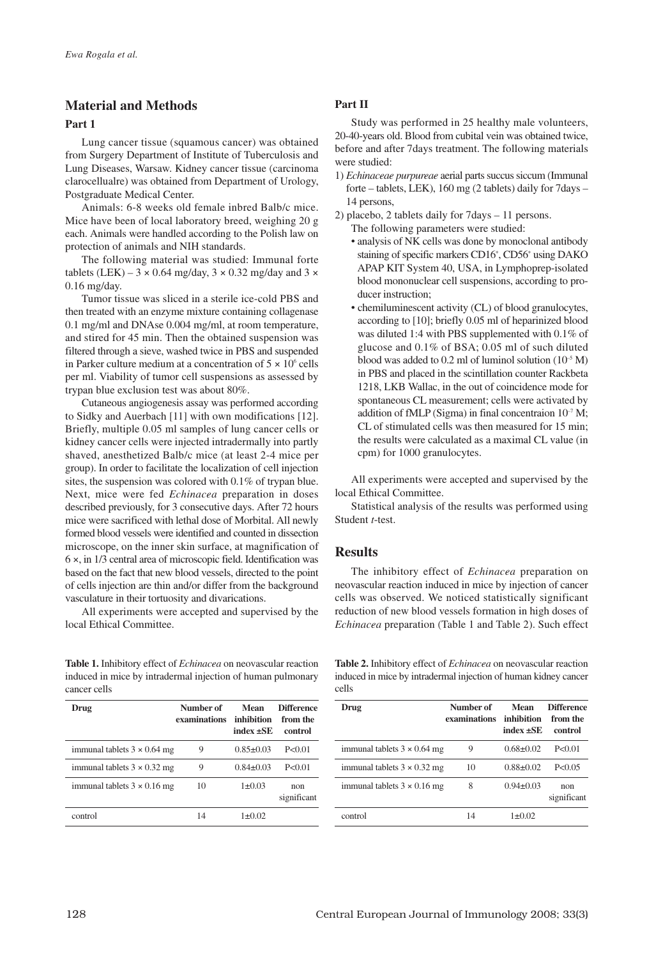# Material and Methods

#### Part 1

Lung cancer tissue (squamous cancer) was obtained from Surgery Department of Institute of Tuberculosis and Lung Diseases, Warsaw. Kidney cancer tissue (carcinoma clarocellualre) was obtained from Department of Urology, Postgraduate Medical Center.

Animals: 6-8 weeks old female inbred Balb/c mice. Mice have been of local laboratory breed, weighing 20 g each. Animals were handled according to the Polish law on protection of animals and NIH standards.

The following material was studied: Immunal forte tablets (LEK) – 3  $\times$  0.64 mg/day, 3  $\times$  0.32 mg/day and 3  $\times$ 0.16 mg/day.

Tumor tissue was sliced in a sterile ice-cold PBS and then treated with an enzyme mixture containing collagenase 0.1 mg/ml and DNAse 0.004 mg/ml, at room temperature, and stired for 45 min. Then the obtained suspension was filtered through a sieve, washed twice in PBS and suspended in Parker culture medium at a concentration of  $5 \times 10^6$  cells per ml. Viability of tumor cell suspensions as assessed by trypan blue exclusion test was about 80%.

Cutaneous angiogenesis assay was performed according to Sidky and Auerbach [11] with own modifications [12]. Briefly, multiple 0.05 ml samples of lung cancer cells or kidney cancer cells were injected intradermally into partly shaved, anesthetized Balb/c mice (at least 2-4 mice per group). In order to facilitate the localization of cell injection sites, the suspension was colored with 0.1% of trypan blue. Next, mice were fed Echinacea preparation in doses described previously, for 3 consecutive days. After 72 hours mice were sacrificed with lethal dose of Morbital. All newly formed blood vessels were identified and counted in dissection microscope, on the inner skin surface, at magnification of 6 ×, in 1/3 central area of microscopic field. Identification was based on the fact that new blood vessels, directed to the point of cells injection are thin and/or differ from the background vasculature in their tortuosity and divarications.

All experiments were accepted and supervised by the local Ethical Committee.

Table 1. Inhibitory effect of *Echinacea* on neovascular reaction induced in mice by intradermal injection of human pulmonary cancer cells

| Drug                               | Number of<br>examinations | Mean<br>inhihition<br>index +SE | <b>Difference</b><br>from the<br>control |
|------------------------------------|---------------------------|---------------------------------|------------------------------------------|
| immunal tablets $3 \times 0.64$ mg | 9                         | $0.85 \pm 0.03$                 | P < 0.01                                 |
| immunal tablets $3 \times 0.32$ mg | 9                         | $0.84 + 0.03$                   | P < 0.01                                 |
| immunal tablets $3 \times 0.16$ mg | 10                        | $1 \pm 0.03$                    | non<br>significant                       |
| control                            | 14                        | $1+0.02$                        |                                          |

#### Part II

Study was performed in 25 healthy male volunteers, 20-40-years old. Blood from cubital vein was obtained twice, before and after 7days treatment. The following materials were studied:

- 1) Echinaceae purpureae aerial parts succus siccum (Immunal forte – tablets, LEK), 160 mg (2 tablets) daily for 7days – 14 persons,
- 2) placebo, 2 tablets daily for 7days 11 persons.
	- The following parameters were studied: • analysis of NK cells was done by monoclonal antibody staining of specific markers CD16+ , CD56+ using DAKO APAP KIT System 40, USA, in Lymphoprep-isolated blood mononuclear cell suspensions, according to producer instruction;
	- chemiluminescent activity (CL) of blood granulocytes, according to [10]; briefly 0.05 ml of heparinized blood was diluted 1:4 with PBS supplemented with 0.1% of glucose and 0.1% of BSA; 0.05 ml of such diluted blood was added to 0.2 ml of luminol solution  $(10^{-5} M)$ in PBS and placed in the scintillation counter Rackbeta 1218, LKB Wallac, in the out of coincidence mode for spontaneous CL measurement; cells were activated by addition of fMLP (Sigma) in final concentraion  $10^{-7}$  M; CL of stimulated cells was then measured for 15 min; the results were calculated as a maximal CL value (in cpm) for 1000 granulocytes.

All experiments were accepted and supervised by the local Ethical Committee.

Statistical analysis of the results was performed using Student t-test.

## **Results**

The inhibitory effect of Echinacea preparation on neovascular reaction induced in mice by injection of cancer cells was observed. We noticed statistically significant reduction of new blood vessels formation in high doses of Echinacea preparation (Table 1 and Table 2). Such effect

Table 2. Inhibitory effect of Echinacea on neovascular reaction induced in mice by intradermal injection of human kidney cancer cells

| Drug                               | Number of<br>examinations | Mean<br>inhibition<br>index +SE | <b>Difference</b><br>from the<br>control |
|------------------------------------|---------------------------|---------------------------------|------------------------------------------|
| immunal tablets $3 \times 0.64$ mg | 9                         | $0.68 + 0.02$                   | P < 0.01                                 |
| immunal tablets $3 \times 0.32$ mg | 10                        | $0.88 + 0.02$                   | P < 0.05                                 |
| immunal tablets $3 \times 0.16$ mg | 8                         | $0.94 \pm 0.03$                 | non<br>significant                       |
| control                            | 14                        | $1+0.02$                        |                                          |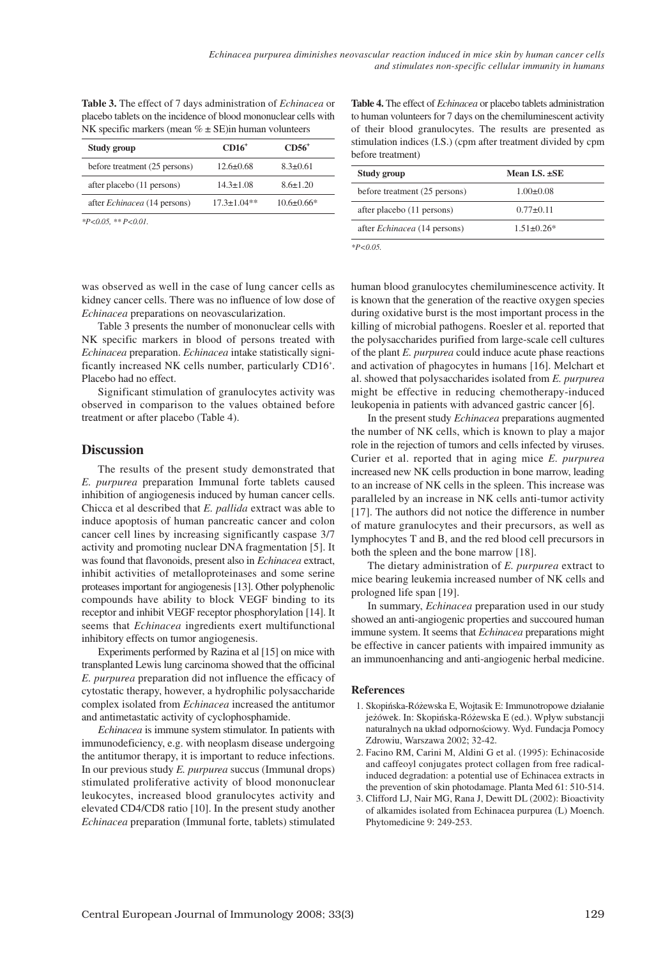| NK specific markers (mean $\% \pm SE$ ) in human volunteers |                 |                |  |
|-------------------------------------------------------------|-----------------|----------------|--|
| Study group                                                 | $CD16+$         | $CD56+$        |  |
| before treatment (25 persons)                               | $12.6 \pm 0.68$ | $8.3 \pm 0.61$ |  |

after placebo (11 persons) 14.3±1.08 8.6±1.20 after Echinacea (14 persons) 17.3±1.04\*\* 10.6±0.66\*

Table 3. The effect of 7 days administration of Echinacea or placebo tablets on the incidence of blood mononuclear cells with

 $*P<0.05$ ,  $*P<0.01$ .

Table 4. The effect of *Echinacea* or placebo tablets administration to human volunteers for 7 days on the chemiluminescent activity of their blood granulocytes. The results are presented as stimulation indices (I.S.) (cpm after treatment divided by cpm before treatment)

| Study group                            | Mean I.S. $\pm$ SE |
|----------------------------------------|--------------------|
| before treatment (25 persons)          | $1.00 \pm 0.08$    |
| after placebo (11 persons)             | $0.77 \pm 0.11$    |
| after <i>Echinacea</i> (14 persons)    | $1.51 \pm 0.26*$   |
| $\mathbf{r}$ $\mathbf{r}$ $\mathbf{r}$ |                    |

 $*P<0.05$ .

was observed as well in the case of lung cancer cells as kidney cancer cells. There was no influence of low dose of Echinacea preparations on neovascularization.

Table 3 presents the number of mononuclear cells with NK specific markers in blood of persons treated with Echinacea preparation. Echinacea intake statistically significantly increased NK cells number, particularly CD16<sup>+</sup>. Placebo had no effect.

Significant stimulation of granulocytes activity was observed in comparison to the values obtained before treatment or after placebo (Table 4).

## **Discussion**

The results of the present study demonstrated that E. purpurea preparation Immunal forte tablets caused inhibition of angiogenesis induced by human cancer cells. Chicca et al described that E. pallida extract was able to induce apoptosis of human pancreatic cancer and colon cancer cell lines by increasing significantly caspase 3/7 activity and promoting nuclear DNA fragmentation [5]. It was found that flavonoids, present also in Echinacea extract, inhibit activities of metalloproteinases and some serine proteases important for angiogenesis [13]. Other polyphenolic compounds have ability to block VEGF binding to its receptor and inhibit VEGF receptor phosphorylation [14]. It seems that Echinacea ingredients exert multifunctional inhibitory effects on tumor angiogenesis.

Experiments performed by Razina et al [15] on mice with transplanted Lewis lung carcinoma showed that the officinal E. purpurea preparation did not influence the efficacy of cytostatic therapy, however, a hydrophilic polysaccharide complex isolated from Echinacea increased the antitumor and antimetastatic activity of cyclophosphamide.

Echinacea is immune system stimulator. In patients with immunodeficiency, e.g. with neoplasm disease undergoing the antitumor therapy, it is important to reduce infections. In our previous study E. purpurea succus (Immunal drops) stimulated proliferative activity of blood mononuclear leukocytes, increased blood granulocytes activity and elevated CD4/CD8 ratio [10]. In the present study another Echinacea preparation (Immunal forte, tablets) stimulated human blood granulocytes chemiluminescence activity. It is known that the generation of the reactive oxygen species during oxidative burst is the most important process in the killing of microbial pathogens. Roesler et al. reported that the polysaccharides purified from large-scale cell cultures of the plant E. purpurea could induce acute phase reactions and activation of phagocytes in humans [16]. Melchart et al. showed that polysaccharides isolated from E. purpurea might be effective in reducing chemotherapy-induced leukopenia in patients with advanced gastric cancer [6].

In the present study Echinacea preparations augmented the number of NK cells, which is known to play a major role in the rejection of tumors and cells infected by viruses. Curier et al. reported that in aging mice E. purpurea increased new NK cells production in bone marrow, leading to an increase of NK cells in the spleen. This increase was paralleled by an increase in NK cells anti-tumor activity [17]. The authors did not notice the difference in number of mature granulocytes and their precursors, as well as lymphocytes T and B, and the red blood cell precursors in both the spleen and the bone marrow [18].

The dietary administration of E. purpurea extract to mice bearing leukemia increased number of NK cells and prologned life span [19].

In summary, Echinacea preparation used in our study showed an anti-angiogenic properties and succoured human immune system. It seems that *Echinacea* preparations might be effective in cancer patients with impaired immunity as an immunoenhancing and anti-angiogenic herbal medicine.

#### **References**

- 1. Skopińska-Różewska E, Wojtasik E: Immunotropowe działanie jeżówek. In: Skopińska-Różewska E (ed.). Wpływ substancji naturalnych na układ odpornościowy. Wyd. Fundacja Pomocy Zdrowiu, Warszawa 2002; 32-42.
- 2. Facino RM, Carini M, Aldini G et al. (1995): Echinacoside and caffeoyl conjugates protect collagen from free radicalinduced degradation: a potential use of Echinacea extracts in the prevention of skin photodamage. Planta Med 61: 510-514.
- 3. Clifford LJ, Nair MG, Rana J, Dewitt DL (2002): Bioactivity of alkamides isolated from Echinacea purpurea (L) Moench. Phytomedicine 9: 249-253.